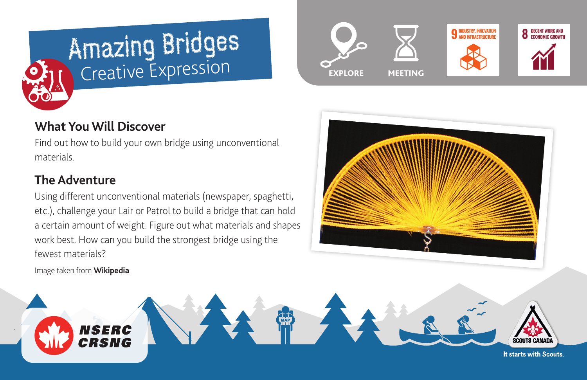



## **What You Will Discover**

Find out how to build your own bridge using unconventional materials.

## **The Adventure**

Using different unconventional materials (newspaper, spaghetti, etc.), challenge your Lair or Patrol to build a bridge that can hold a certain amount of weight. Figure out what materials and shapes work best. How can you build the strongest bridge using the fewest materials?

Image taken from **[Wikipedia](https://en.wikipedia.org/wiki/Spaghetti_bridge)**





It starts with Scouts.